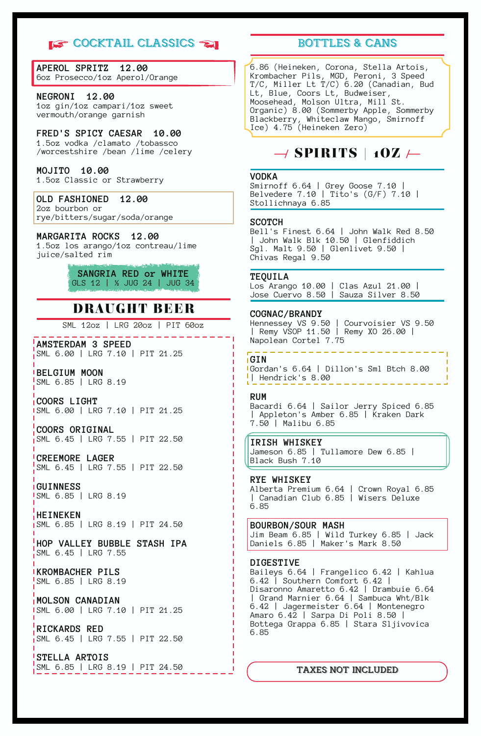# **IS COCKTAIL CLASSICS**

**APEROL SPRITZ 12.00** 6oz Prosecco/1oz Aperol/Orange

### **NEGRONI 12.00**

1oz gin/1oz campari/1oz sweet vermouth/orange garnish

## **FRED'S SPICY CAESAR 10.00**

1.5oz vodka /clamato /tobassco /worcestshire /bean /lime /celery

## **MOJITO 10.00**

1.5oz Classic or Strawberry

**OLD FASHIONED 12.00** 2oz bourbon or rye/bitters/sugar/soda/orange

### **MARGARITA ROCKS 12.00**

1.5oz los arango/1oz contreau/lime juice/salted rim

### **SANGRIA RED or WHITE** GLS 12 | ½ JUG 24 | JUG 34

# DRAUGHT BEER

SML 12oz | LRG 20oz | PIT 60oz

**AMSTERDAM 3 SPEED** SML 6.00 | LRG 7.10 | PIT 21.25

**BELGIUM MOON** SML 6.85 | LRG 8.19

**COORS LIGHT** SML 6.00 | LRG 7.10 | PIT 21.25

**COORS ORIGINAL** SML 6.45 | LRG 7.55 | PIT 22.50

**CREEMORE LAGER** SML 6.45 | LRG 7.55 | PIT 22.50

**GUINNESS** SML 6.85 | LRG 8.19

**HEINEKEN** SML 6.85 | LRG 8.19 | PIT 24.50

**HOP VALLEY BUBBLE STASH IPA**  $\sqrt{\text{SML}}$  6.45 | LRG 7.55

**KROMBACHER PILS** SML 6.85 | LRG 8.19

**MOLSON CANADIAN** SML 6.00 | LRG 7.10 | PIT 21.25

**RICKARDS RED** SML 6.45 | LRG 7.55 | PIT 22.50

**STELLA ARTOIS** SML 6.85 | LRG 8.19 | PIT 24.50

# BOTTLES & CANS

6.86 (Heineken, Corona, Stella Artois, Krombacher Pils, MGD, Peroni, 3 Speed T/C, Miller Lt T/C) 6.20 (Canadian, Bud Lt, Blue, Coors Lt, Budweiser, Moosehead, Molson Ultra, Mill St. Organic) 8.00 (Sommerby Apple, Sommerby Blackberry, Whiteclaw Mango, Smirnoff Ice) 4.75 (Heineken Zero)

# $\rightarrow$  SPIRITS | 10Z  $\leftarrow$

#### **VODKA**

Smirnoff 6.64 | Grey Goose 7.10 | Belvedere 7.10 | Tito's (G/F) 7.10 | Stollichnaya 6.85

#### **SCOTCH**

Bell's Finest 6.64 | John Walk Red 8.50 | John Walk Blk 10.50 | Glenfiddich Sgl. Malt 9.50 | Glenlivet 9.50 | Chivas Regal 9.50

#### **TEQUILA**

Los Arango 10.00 | Clas Azul 21.00 | Jose Cuervo 8.50 | Sauza Silver 8.50

#### **COGNAC/BRANDY**

Hennessey VS 9.50 | Courvoisier VS 9.50 | Remy VSOP 11.50 | Remy XO 26.00 | Napolean Cortel 7.75

#### **GIN**

Gordan's 6.64 | Dillon's Sml Btch 8.00 | Hendrick's 8.00 . . . . . . . .

#### **RUM**

Bacardi 6.64 | Sailor Jerry Spiced 6.85 | Appleton's Amber 6.85 | Kraken Dark 7.50 | Malibu 6.85

### **IRISH WHISKEY**

Jameson 6.85 | Tullamore Dew 6.85 | Black Bush 7.10

### **RYE WHISKEY**

Alberta Premium 6.64 | Crown Royal 6.85 | Canadian Club 6.85 | Wisers Deluxe 6.85

#### **BOURBON/SOUR MASH**

Jim Beam 6.85 | Wild Turkey 6.85 | Jack Daniels 6.85 | Maker's Mark 8.50

#### **DIGESTIVE**

Baileys 6.64 | Frangelico 6.42 | Kahlua 6.42 | Southern Comfort 6.42 | Disaronno Amaretto 6.42 | Drambuie 6.64 | Grand Marnier 6.64 | Sambuca Wht/Blk 6.42 | Jagermeister 6.64 | Montenegro Amaro 6.42 | Sarpa Di Poli 8.50 | Bottega Grappa 6.85 | Stara Sljivovica 6.85

#### TAXES NOT INCLUDED